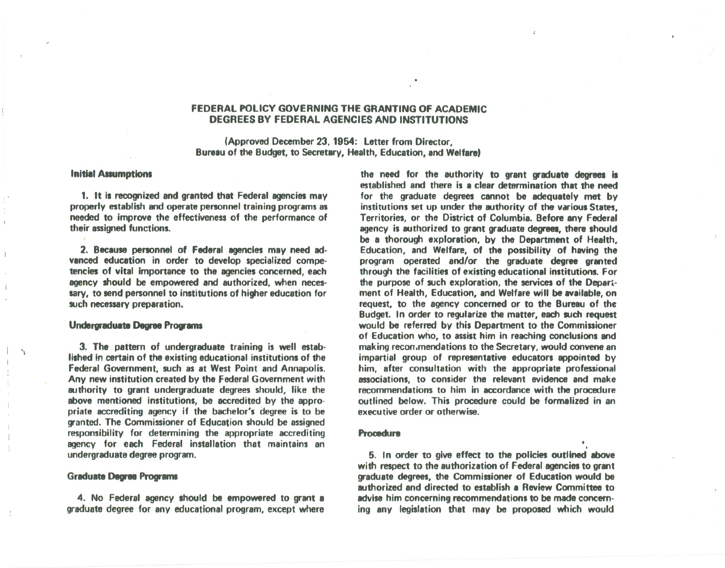# FEDERAL POLICY GOVERNING THE GRANTING OF ACADEMIC DEGREES BY FEDERAL AGENCIES AND INSTITUTIONS

(Approved December 23, 1954: Letter from Director, Bureau of the Budget, to Secretary, Health, Education, and Welfare)

### **Initial Assumptions**

1. It is recognized and granted that Federal agencies may properly establish and operate personnel training programs as needed to improve the effectiveness of the performance of their assigned functions.

2. Because personnel of Federal agencies may need advanced education in order to develop specialized competencies of vital importance to the agencies concerned, each agency should be empowered and authorized, when necessary, to send personnel to institutions of higher education for such necessary preparation.

## Undergraduate Degree Programs

\ 3. The pattern of undergraduate training is well established in certain of the existing educational institutions of the Federal Government, such as at West Point and Annapolis. Any new institution created by the Federal Government with authority to grant undergraduate degrees should, like the above mentioned institutions, be accredited by the appropriate accrediting agency if the bachelor's degree is to be granted. The Commissioner of Education should be assigned responsibility for determining the appropriate accrediting agency for each Federal installation that maintains an undergraduate degree program.

#### Graduate Degree Programs

4. No Federal agency should be empowered to grant a graduate degree for any educational program, except where

the need for the authority to grant graduate degrees is established and there is a clear determination that the need for the graduate degrees cannot be adequately met by institutions set up under the authority of the various States, Territories, or the District of Columbia.Before any Federal agency is authorized to grant graduate degrees, there should be a thorough exploration, by the Department of Health, Education, and Welfare, of the possibility of having the program operated and/or the graduate degree granted through the facilities of existing educational institutions. For the purpose of such exploration, the services of the Department of Health, Education, and Welfare will be available, on request, to the agency concerned or to the Bureau of the Budget. In order to regularize the matter, each such request would be referred by this Department to the Commissioner of Education who, to assist him in reaching conclusions and making recon, mendations to the Secretary, would convene an impartial group of representative educators appointed by him, after consultation with the appropriate professional associations, to consider the relevant evidence and make recommendations to him in accordance with the procedure outlined below. This procedure could be formalized in an executive order or otherwise.

# **Procedure , and the contract of the contract of the contract of the contract of the contract of the contract of the contract of the contract of the contract of the contract of the contract of the contract of the contract**

5. In order to give effect to the policies outlined above with respect to the authorization of Federal agencies to grant graduate degrees, the Commissioner of Education would be authorized and directed to establish a Review Committee to advise him concerning recommendations to be made concerning any legislation that may be proposed which would

I